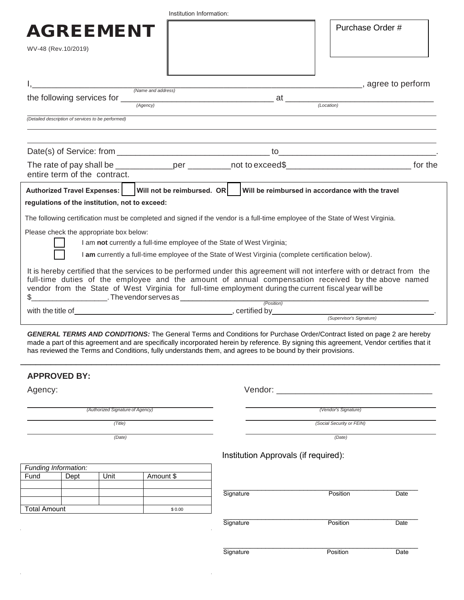|                              |                                                    |                                                |                    | Institution Information:                                                                                                                                                                                                                                                                                                                                                                                                                                                                                                 |                                                                                                               |      |  |
|------------------------------|----------------------------------------------------|------------------------------------------------|--------------------|--------------------------------------------------------------------------------------------------------------------------------------------------------------------------------------------------------------------------------------------------------------------------------------------------------------------------------------------------------------------------------------------------------------------------------------------------------------------------------------------------------------------------|---------------------------------------------------------------------------------------------------------------|------|--|
| WV-48 (Rev.10/2019)          |                                                    | <b>AGREEMENT</b>                               |                    |                                                                                                                                                                                                                                                                                                                                                                                                                                                                                                                          | Purchase Order #                                                                                              |      |  |
|                              |                                                    |                                                | (Name and address) |                                                                                                                                                                                                                                                                                                                                                                                                                                                                                                                          |                                                                                                               |      |  |
|                              |                                                    |                                                |                    | the following services for $\frac{1}{(Agency)}$ at $\frac{1}{(Localion)}$                                                                                                                                                                                                                                                                                                                                                                                                                                                |                                                                                                               |      |  |
|                              | (Detailed description of services to be performed) |                                                |                    |                                                                                                                                                                                                                                                                                                                                                                                                                                                                                                                          |                                                                                                               |      |  |
|                              |                                                    |                                                |                    |                                                                                                                                                                                                                                                                                                                                                                                                                                                                                                                          |                                                                                                               |      |  |
|                              |                                                    |                                                |                    |                                                                                                                                                                                                                                                                                                                                                                                                                                                                                                                          |                                                                                                               |      |  |
|                              |                                                    | entire term of the contract.                   |                    |                                                                                                                                                                                                                                                                                                                                                                                                                                                                                                                          | The rate of pay shall be _______________per _________not to exceed\$__________________________________for the |      |  |
|                              |                                                    | <b>Authorized Travel Expenses:</b>             |                    | $ $ Will not be reimbursed. OR $ $ $ $ Will be reimbursed in accordance with the travel                                                                                                                                                                                                                                                                                                                                                                                                                                  |                                                                                                               |      |  |
|                              |                                                    | regulations of the institution, not to exceed: |                    |                                                                                                                                                                                                                                                                                                                                                                                                                                                                                                                          |                                                                                                               |      |  |
|                              |                                                    |                                                |                    | The following certification must be completed and signed if the vendor is a full-time employee of the State of West Virginia.                                                                                                                                                                                                                                                                                                                                                                                            |                                                                                                               |      |  |
|                              |                                                    | Please check the appropriate box below:        |                    | I am not currently a full-time employee of the State of West Virginia;<br>I am currently a full-time employee of the State of West Virginia (complete certification below).<br>It is hereby certified that the services to be performed under this agreement will not interfere with or detract from the<br>full-time duties of the employee and the amount of annual compensation received by the above named<br>vendor from the State of West Virginia for full-time employment during the current fiscal year will be |                                                                                                               |      |  |
|                              |                                                    |                                                |                    | \$                                                                                                                                                                                                                                                                                                                                                                                                                                                                                                                       |                                                                                                               |      |  |
|                              |                                                    |                                                |                    |                                                                                                                                                                                                                                                                                                                                                                                                                                                                                                                          | (Supervisor's Signature)                                                                                      |      |  |
| <b>APPROVED BY:</b>          |                                                    |                                                |                    | <b>GENERAL TERMS AND CONDITIONS:</b> The General Terms and Conditions for Purchase Order/Contract listed on page 2 are hereby<br>made a part of this agreement and are specifically incorporated herein by reference. By signing this agreement, Vendor certifies that it<br>has reviewed the Terms and Conditions, fully understands them, and agrees to be bound by their provisions.                                                                                                                                  |                                                                                                               |      |  |
| Agency:                      |                                                    |                                                |                    |                                                                                                                                                                                                                                                                                                                                                                                                                                                                                                                          | Vendor: ________________________                                                                              |      |  |
|                              |                                                    | (Authorized Signature of Agency)               |                    |                                                                                                                                                                                                                                                                                                                                                                                                                                                                                                                          | (Vendor's Signature)                                                                                          |      |  |
| (Title)<br>(Date)            |                                                    |                                                |                    |                                                                                                                                                                                                                                                                                                                                                                                                                                                                                                                          | (Social Security or FEIN)                                                                                     |      |  |
|                              |                                                    |                                                |                    |                                                                                                                                                                                                                                                                                                                                                                                                                                                                                                                          | (Date)                                                                                                        |      |  |
|                              |                                                    |                                                |                    |                                                                                                                                                                                                                                                                                                                                                                                                                                                                                                                          | Institution Approvals (if required):                                                                          |      |  |
| Funding Information:<br>Fund | Dept                                               | Unit                                           | Amount \$          |                                                                                                                                                                                                                                                                                                                                                                                                                                                                                                                          |                                                                                                               |      |  |
|                              |                                                    |                                                |                    | Signature                                                                                                                                                                                                                                                                                                                                                                                                                                                                                                                | Position                                                                                                      | Date |  |
| <b>Total Amount</b>          |                                                    |                                                | \$0.00             |                                                                                                                                                                                                                                                                                                                                                                                                                                                                                                                          |                                                                                                               |      |  |
|                              |                                                    |                                                |                    | Signature                                                                                                                                                                                                                                                                                                                                                                                                                                                                                                                | Position                                                                                                      | Date |  |
|                              |                                                    |                                                |                    | Signature                                                                                                                                                                                                                                                                                                                                                                                                                                                                                                                | Position                                                                                                      |      |  |
|                              |                                                    |                                                |                    |                                                                                                                                                                                                                                                                                                                                                                                                                                                                                                                          |                                                                                                               | Date |  |

 $\sim 10^{-1}$ 

 $\sim 10^{-1}$